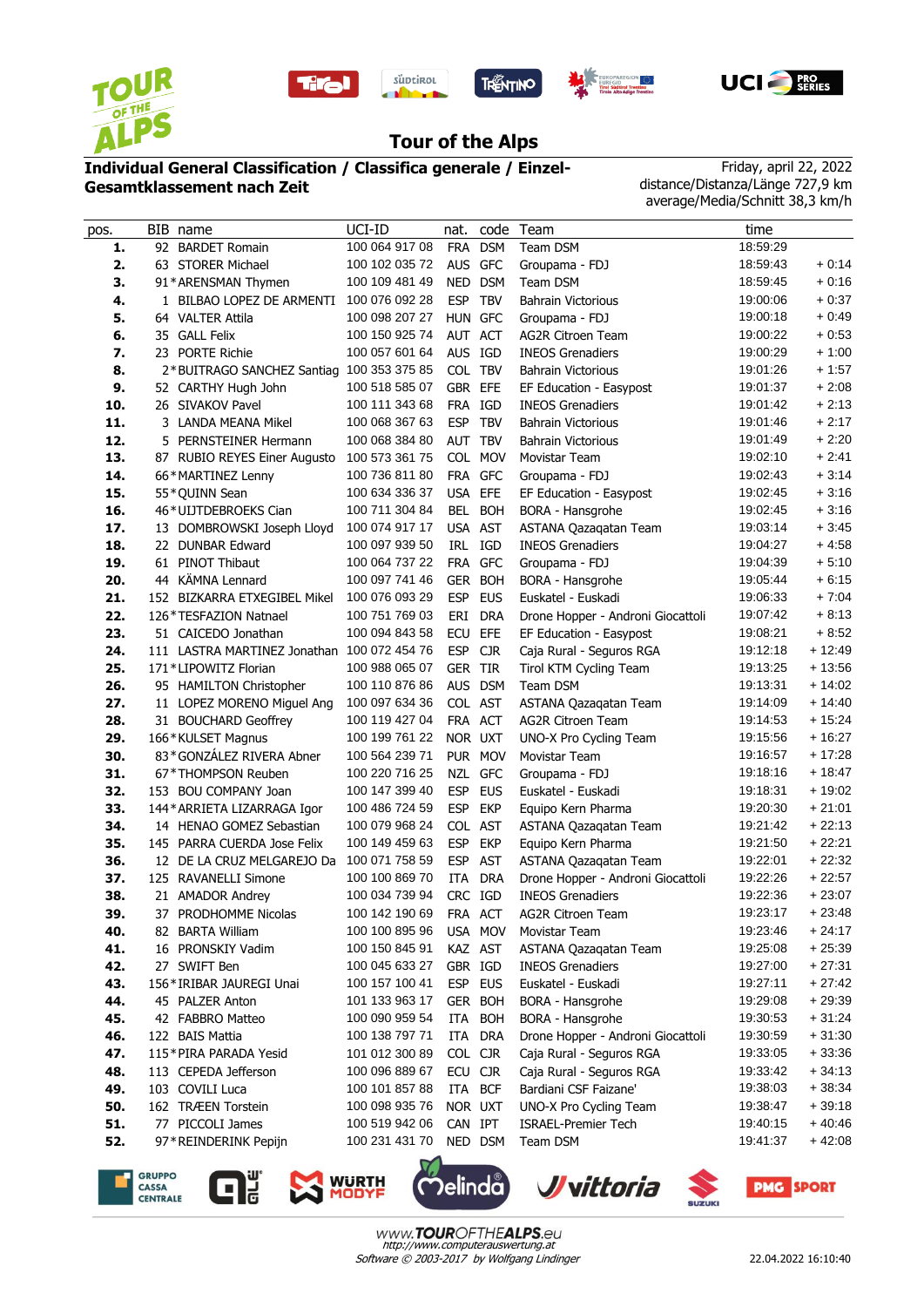









## **Tour of the Alps**

## **Individual General Classification / Classifica generale / Einzel-Gesamtklassement nach Zeit**

Friday, april 22, 2022 distance/Distanza/Länge 727,9 km average/Media/Schnitt 38,3 km/h

| pos. | BIB name                                    | UCI-ID         | nat.       |            | code Team                         | time     |          |
|------|---------------------------------------------|----------------|------------|------------|-----------------------------------|----------|----------|
| 1.   | 92 BARDET Romain                            | 100 064 917 08 | <b>FRA</b> | <b>DSM</b> | Team DSM                          | 18:59:29 |          |
| 2.   | 63 STORER Michael                           | 100 102 035 72 |            | AUS GFC    | Groupama - FDJ                    | 18:59:43 | $+0:14$  |
| 3.   | 91*ARENSMAN Thymen                          | 100 109 481 49 |            | NED DSM    | Team DSM                          | 18:59:45 | $+0:16$  |
| 4.   | 1 BILBAO LOPEZ DE ARMENTI                   | 100 076 092 28 | <b>ESP</b> | <b>TBV</b> | <b>Bahrain Victorious</b>         | 19:00:06 | $+0:37$  |
| 5.   | 64 VALTER Attila                            | 100 098 207 27 | HUN GFC    |            | Groupama - FDJ                    | 19:00:18 | $+0.49$  |
| 6.   | 35 GALL Felix                               | 100 150 925 74 | AUT ACT    |            | <b>AG2R Citroen Team</b>          | 19:00:22 | $+0.53$  |
| 7.   | 23 PORTE Richie                             | 100 057 601 64 | AUS IGD    |            | <b>INEOS Grenadiers</b>           | 19:00:29 | $+1:00$  |
| 8.   | 2*BUITRAGO SANCHEZ Santiag 100 353 375 85   |                | COL TBV    |            | <b>Bahrain Victorious</b>         | 19:01:26 | $+1:57$  |
| 9.   | 52 CARTHY Hugh John                         | 100 518 585 07 | GBR EFE    |            | EF Education - Easypost           | 19:01:37 | $+2:08$  |
| 10.  | 26 SIVAKOV Pavel                            | 100 111 343 68 | <b>FRA</b> | IGD        | <b>INEOS Grenadiers</b>           | 19:01:42 | $+2:13$  |
| 11.  | 3 LANDA MEANA Mikel                         | 100 068 367 63 | <b>ESP</b> | <b>TBV</b> | <b>Bahrain Victorious</b>         | 19:01:46 | $+2:17$  |
| 12.  | 5 PERNSTEINER Hermann                       | 100 068 384 80 | AUT TBV    |            | <b>Bahrain Victorious</b>         | 19:01:49 | $+2:20$  |
| 13.  | 87 RUBIO REYES Einer Augusto                | 100 573 361 75 |            | COL MOV    | Movistar Team                     | 19:02:10 | $+2:41$  |
| 14.  | 66*MARTINEZ Lenny                           | 100 736 811 80 |            | FRA GFC    | Groupama - FDJ                    | 19:02:43 | $+3:14$  |
| 15.  | 55*QUINN Sean                               | 100 634 336 37 | USA EFE    |            | EF Education - Easypost           | 19:02:45 | $+3:16$  |
| 16.  | 46*UIJTDEBROEKS Cian                        | 100 711 304 84 |            | BEL BOH    | BORA - Hansgrohe                  | 19:02:45 | $+3:16$  |
| 17.  | 13 DOMBROWSKI Joseph Lloyd                  | 100 074 917 17 |            | USA AST    | ASTANA Qazaqatan Team             | 19:03:14 | $+3:45$  |
| 18.  | 22 DUNBAR Edward                            | 100 097 939 50 | IRL        | IGD        | <b>INEOS Grenadiers</b>           | 19:04:27 | $+4.58$  |
| 19.  | 61 PINOT Thibaut                            | 100 064 737 22 |            | FRA GFC    | Groupama - FDJ                    | 19:04:39 | $+5:10$  |
| 20.  | 44 KÄMNA Lennard                            | 100 097 741 46 |            | GER BOH    | BORA - Hansgrohe                  | 19:05:44 | $+6:15$  |
| 21.  | 152 BIZKARRA ETXEGIBEL Mikel                | 100 076 093 29 | <b>ESP</b> | <b>EUS</b> | Euskatel - Euskadi                | 19:06:33 | $+7:04$  |
| 22.  | 126*TESFAZION Natnael                       | 100 751 769 03 | ERI        | <b>DRA</b> | Drone Hopper - Androni Giocattoli | 19:07:42 | $+8:13$  |
| 23.  | 51 CAICEDO Jonathan                         | 100 094 843 58 | ECU        | <b>EFE</b> | EF Education - Easypost           | 19:08:21 | $+8:52$  |
| 24.  | 111 LASTRA MARTINEZ Jonathan 100 072 454 76 |                | <b>ESP</b> | <b>CJR</b> | Caja Rural - Seguros RGA          | 19:12:18 | $+12:49$ |
| 25.  | 171*LIPOWITZ Florian                        | 100 988 065 07 | GER TIR    |            | Tirol KTM Cycling Team            | 19:13:25 | $+13:56$ |
| 26.  | 95 HAMILTON Christopher                     | 100 110 876 86 |            | AUS DSM    | Team DSM                          | 19:13:31 | $+14:02$ |
| 27.  | 11 LOPEZ MORENO Miguel Ang                  | 100 097 634 36 |            | COL AST    | ASTANA Qazaqatan Team             | 19:14:09 | $+14:40$ |
| 28.  | 31 BOUCHARD Geoffrey                        | 100 119 427 04 |            | FRA ACT    | <b>AG2R Citroen Team</b>          | 19:14:53 | $+15:24$ |
| 29.  | 166*KULSET Magnus                           | 100 199 761 22 | NOR UXT    |            | UNO-X Pro Cycling Team            | 19:15:56 | $+16:27$ |
| 30.  | 83*GONZÁLEZ RIVERA Abner                    | 100 564 239 71 |            | PUR MOV    | Movistar Team                     | 19:16:57 | $+17:28$ |
| 31.  | 67*THOMPSON Reuben                          | 100 220 716 25 | NZL        | <b>GFC</b> | Groupama - FDJ                    | 19:18:16 | $+18:47$ |
| 32.  | 153 BOU COMPANY Joan                        | 100 147 399 40 | <b>ESP</b> | <b>EUS</b> | Euskatel - Euskadi                | 19:18:31 | $+19:02$ |
| 33.  | 144* ARRIETA LIZARRAGA Igor                 | 100 486 724 59 | <b>ESP</b> | <b>EKP</b> | Equipo Kern Pharma                | 19:20:30 | $+21:01$ |
| 34.  | 14 HENAO GOMEZ Sebastian                    | 100 079 968 24 |            | COL AST    | ASTANA Qazaqatan Team             | 19:21:42 | $+22:13$ |
| 35.  | 145 PARRA CUERDA Jose Felix                 | 100 149 459 63 | <b>ESP</b> | <b>EKP</b> | Equipo Kern Pharma                | 19:21:50 | $+22:21$ |
| 36.  | 12 DE LA CRUZ MELGAREJO Da                  | 100 071 758 59 | <b>ESP</b> | <b>AST</b> | ASTANA Qazaqatan Team             | 19:22:01 | $+22:32$ |
| 37.  | 125 RAVANELLI Simone                        | 100 100 869 70 | <b>ITA</b> | <b>DRA</b> | Drone Hopper - Androni Giocattoli | 19:22:26 | $+22:57$ |
| 38.  | 21 AMADOR Andrey                            | 100 034 739 94 | CRC IGD    |            | <b>INEOS Grenadiers</b>           | 19:22:36 | $+23:07$ |
| 39.  | 37 PRODHOMME Nicolas                        | 100 142 190 69 | FRA ACT    |            | AG2R Citroen Team                 | 19:23:17 | $+23:48$ |
| 40.  | 82 BARTA William                            | 100 100 895 96 |            | USA MOV    | Movistar Team                     | 19:23:46 | $+24:17$ |
| 41.  | 16 PRONSKIY Vadim                           | 100 150 845 91 |            | KAZ AST    | ASTANA Qazaqatan Team             | 19:25:08 | $+25:39$ |
| 42.  | 27 SWIFT Ben                                | 100 045 633 27 | GBR IGD    |            | <b>INEOS Grenadiers</b>           | 19:27:00 | $+27:31$ |
| 43.  | 156*IRIBAR JAUREGI Unai                     | 100 157 100 41 |            | ESP EUS    | Euskatel - Euskadi                | 19:27:11 | $+27:42$ |
| 44.  | 45 PALZER Anton                             | 101 133 963 17 |            | GER BOH    | BORA - Hansgrohe                  | 19:29:08 | $+29:39$ |
| 45.  | 42 FABBRO Matteo                            | 100 090 959 54 | ITA        | <b>BOH</b> | BORA - Hansgrohe                  | 19:30:53 | $+31:24$ |
| 46.  | 122 BAIS Mattia                             | 100 138 797 71 |            | ITA DRA    | Drone Hopper - Androni Giocattoli | 19:30:59 | $+31:30$ |
| 47.  | 115*PIRA PARADA Yesid                       | 101 012 300 89 | COL CJR    |            | Caja Rural - Seguros RGA          | 19:33:05 | $+33:36$ |
| 48.  | 113 CEPEDA Jefferson                        | 100 096 889 67 | ECU CJR    |            | Caja Rural - Seguros RGA          | 19:33:42 | $+34:13$ |
| 49.  | 103 COVILI Luca                             | 100 101 857 88 |            | ITA BCF    | Bardiani CSF Faizane'             | 19:38:03 | $+38:34$ |
| 50.  | 162 TRÆEN Torstein                          | 100 098 935 76 | NOR UXT    |            | UNO-X Pro Cycling Team            | 19:38:47 | $+39:18$ |
| 51.  | 77 PICCOLI James                            | 100 519 942 06 | CAN IPT    |            | <b>ISRAEL-Premier Tech</b>        | 19:40:15 | $+40:46$ |
| 52.  | 97*REINDERINK Pepijn                        | 100 231 431 70 |            | NED DSM    | Team DSM                          | 19:41:37 | $+42:08$ |

**GRUPPO<br>CASSA<br>CENTRALE**